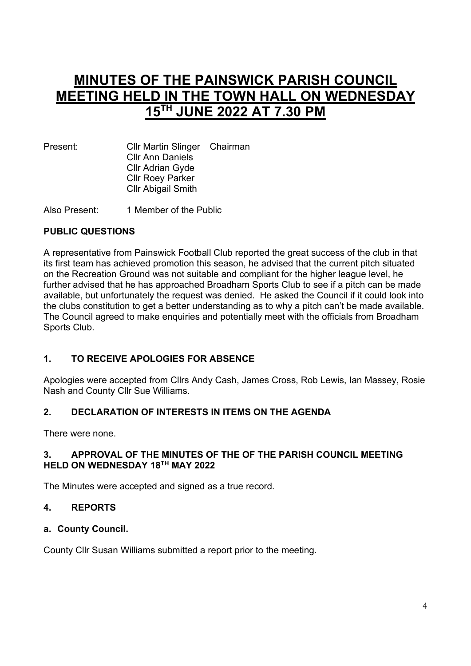# MINUTES OF THE PAINSWICK PARISH COUNCIL MEETING HELD IN THE TOWN HALL ON WEDNESDAY 15TH JUNE 2022 AT 7.30 PM

Present: Cllr Martin Slinger Chairman Cllr Ann Daniels Cllr Adrian Gyde Cllr Roey Parker Cllr Abigail Smith

Also Present: 1 Member of the Public

#### PUBLIC QUESTIONS

A representative from Painswick Football Club reported the great success of the club in that its first team has achieved promotion this season, he advised that the current pitch situated on the Recreation Ground was not suitable and compliant for the higher league level, he further advised that he has approached Broadham Sports Club to see if a pitch can be made available, but unfortunately the request was denied. He asked the Council if it could look into the clubs constitution to get a better understanding as to why a pitch can't be made available. The Council agreed to make enquiries and potentially meet with the officials from Broadham Sports Club.

# 1. TO RECEIVE APOLOGIES FOR ABSENCE

Apologies were accepted from Cllrs Andy Cash, James Cross, Rob Lewis, Ian Massey, Rosie Nash and County Cllr Sue Williams.

#### 2. DECLARATION OF INTERESTS IN ITEMS ON THE AGENDA

There were none.

#### 3. APPROVAL OF THE MINUTES OF THE OF THE PARISH COUNCIL MEETING HELD ON WEDNESDAY 18TH MAY 2022

The Minutes were accepted and signed as a true record.

#### 4. REPORTS

#### a. County Council.

County Cllr Susan Williams submitted a report prior to the meeting.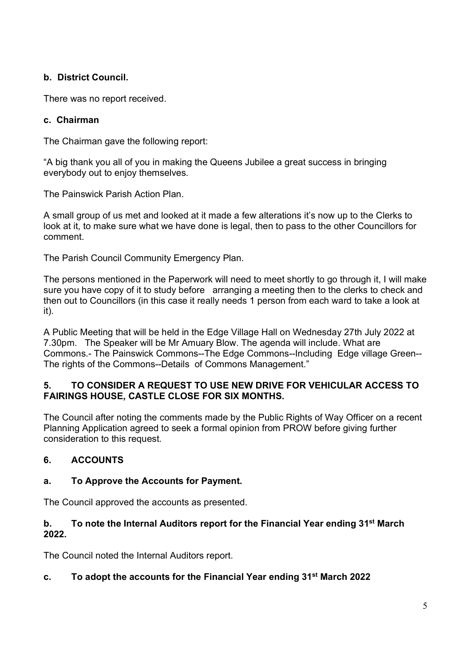# b. District Council.

There was no report received.

#### c. Chairman

The Chairman gave the following report:

"A big thank you all of you in making the Queens Jubilee a great success in bringing everybody out to enjoy themselves.

The Painswick Parish Action Plan.

A small group of us met and looked at it made a few alterations it's now up to the Clerks to look at it, to make sure what we have done is legal, then to pass to the other Councillors for comment.

The Parish Council Community Emergency Plan.

The persons mentioned in the Paperwork will need to meet shortly to go through it, I will make sure you have copy of it to study before arranging a meeting then to the clerks to check and then out to Councillors (in this case it really needs 1 person from each ward to take a look at it).

A Public Meeting that will be held in the Edge Village Hall on Wednesday 27th July 2022 at 7.30pm. The Speaker will be Mr Amuary Blow. The agenda will include. What are Commons.- The Painswick Commons--The Edge Commons--Including Edge village Green-- The rights of the Commons--Details of Commons Management."

#### 5. TO CONSIDER A REQUEST TO USE NEW DRIVE FOR VEHICULAR ACCESS TO FAIRINGS HOUSE, CASTLE CLOSE FOR SIX MONTHS.

The Council after noting the comments made by the Public Rights of Way Officer on a recent Planning Application agreed to seek a formal opinion from PROW before giving further consideration to this request.

# 6. ACCOUNTS

# a. To Approve the Accounts for Payment.

The Council approved the accounts as presented.

#### b. To note the Internal Auditors report for the Financial Year ending 31<sup>st</sup> March 2022.

The Council noted the Internal Auditors report.

# c. To adopt the accounts for the Financial Year ending 31st March 2022